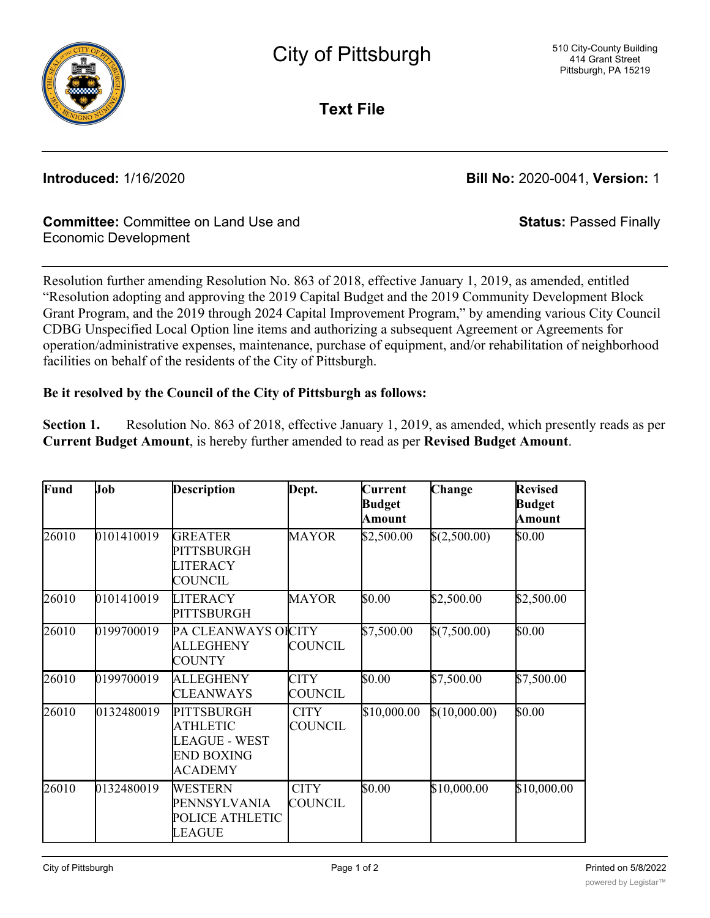

**Text File**

**Introduced:** 1/16/2020 **Bill No:** 2020-0041, **Version:** 1

**Status:** Passed Finally

## **Committee:** Committee on Land Use and Economic Development

Resolution further amending Resolution No. 863 of 2018, effective January 1, 2019, as amended, entitled "Resolution adopting and approving the 2019 Capital Budget and the 2019 Community Development Block Grant Program, and the 2019 through 2024 Capital Improvement Program," by amending various City Council CDBG Unspecified Local Option line items and authorizing a subsequent Agreement or Agreements for operation/administrative expenses, maintenance, purchase of equipment, and/or rehabilitation of neighborhood facilities on behalf of the residents of the City of Pittsburgh.

## **Be it resolved by the Council of the City of Pittsburgh as follows:**

**Section 1.** Resolution No. 863 of 2018, effective January 1, 2019, as amended, which presently reads as per **Current Budget Amount**, is hereby further amended to read as per **Revised Budget Amount**.

| Fund  | Job        | <b>Description</b>                                                                                  | Dept.                         | Current<br><b>Budget</b><br>Amount | Change        | <b>Revised</b><br><b>Budget</b><br><b>Amount</b> |
|-------|------------|-----------------------------------------------------------------------------------------------------|-------------------------------|------------------------------------|---------------|--------------------------------------------------|
| 26010 | 0101410019 | <b>GREATER</b><br>PITTSBURGH<br><b>LITERACY</b><br>COUNCIL                                          | <b>MAYOR</b>                  | \$2,500.00                         | \$(2,500.00)  | \$0.00                                           |
| 26010 | 0101410019 | <b>LITERACY</b><br><b>PITTSBURGH</b>                                                                | <b>MAYOR</b>                  | \$0.00                             | \$2,500.00    | \$2,500.00                                       |
| 26010 | 0199700019 | PA CLEANWAYS OICITY<br><b>ALLEGHENY</b><br>COUNTY                                                   | <b>COUNCIL</b>                | \$7,500.00                         | \$(7,500.00)  | \$0.00                                           |
| 26010 | 0199700019 | <b>ALLEGHENY</b><br><b>CLEANWAYS</b>                                                                | <b>CITY</b><br>COUNCIL        | \$0.00                             | \$7,500.00    | \$7,500.00                                       |
| 26010 | 0132480019 | <b>PITTSBURGH</b><br><b>ATHLETIC</b><br><b>LEAGUE - WEST</b><br><b>END BOXING</b><br><b>ACADEMY</b> | <b>CITY</b><br><b>COUNCIL</b> | \$10,000.00                        | \$(10,000.00) | \$0.00                                           |
| 26010 | 0132480019 | WESTERN<br>PENNSYLVANIA<br>POLICE ATHLETIC<br><b>LEAGUE</b>                                         | <b>CITY</b><br><b>COUNCIL</b> | \$0.00                             | \$10,000.00   | \$10,000.00                                      |